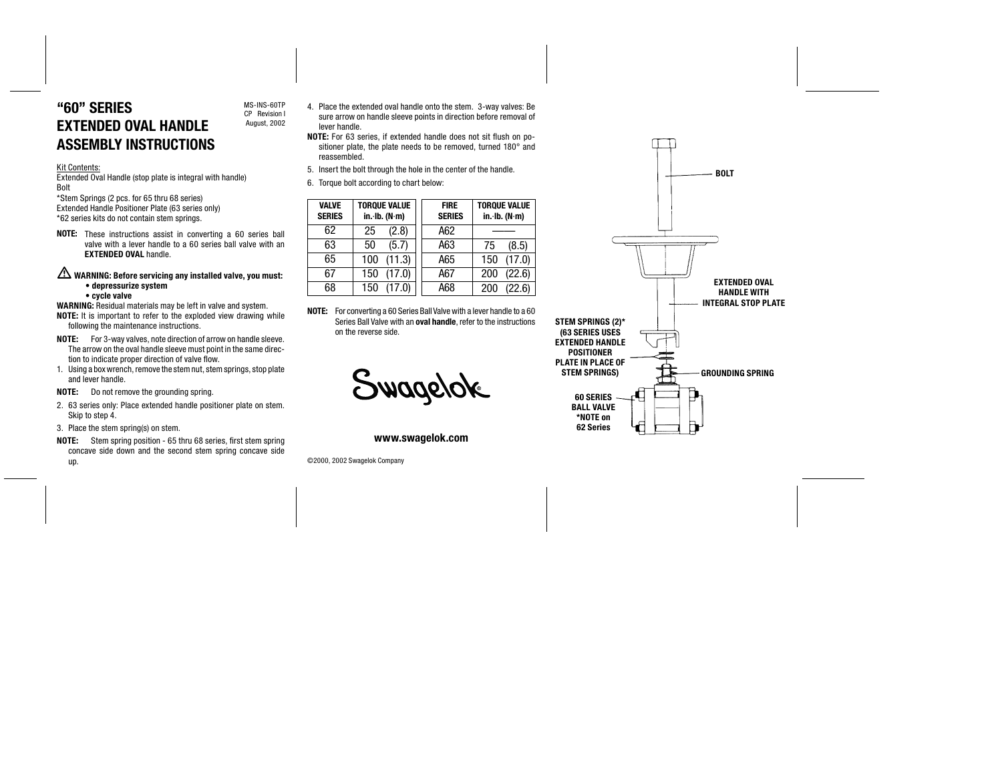# "60" SERIES EXTENDED OVAL HANDLE ASSEMBLY INSTRUCTIONS

#### Kit Contents:

Extended Oval Handle (stop plate is integral with handle) Bolt

\*Stem Springs (2 pcs. for 65 thru 68 series) Extended Handle Positioner Plate (63 series only) \*62 series kits do not contain stem springs.

NOTE: These instructions assist in converting a 60 series ball valve with a lever handle to a 60 series ball valve with an **EXTENDED OVAL handle.** 

MS-INS-60TP CP Revision I August, 2002

### $\sqrt{\Delta}$  WARNING: Before servicing any installed valve, you must: • depressurize system • cycle valve

- WARNING: Residual materials may be left in valve and system. NOTE: It is important to refer to the exploded view drawing while following the maintenance instructions.
- NOTE: For 3-way valves, note direction of arrow on handle sleeve. The arrow on the oval handle sleeve must point in the same direction to indicate proper direction of valve flow.
- 1. Using a box wrench, remove the stem nut, stem springs, stop plate and lever handle.
- **NOTE:** Do not remove the grounding spring.
- 2. 63 series only: Place extended handle positioner plate on stem. Skip to step 4.
- 3. Place the stem spring(s) on stem.
- NOTE: Stem spring position 65 thru 68 series, first stem spring concave side down and the second stem spring concave side up.

4. Place the extended oval handle onto the stem. 3-way valves: Be sure arrow on handle sleeve points in direction before removal of lever handle.

- NOTE: For 63 series, if extended handle does not sit flush on positioner plate, the plate needs to be removed, turned 180° and reassembled.
- 5. Insert the bolt through the hole in the center of the handle.
- 6. Torque bolt according to chart below:

| <b>VALVE</b><br><b>SERIES</b> | <b>TORQUE VALUE</b><br>in·lb. (N·m) | <b>FIRE</b><br><b>SERIES</b> | <b>TORQUE VALUE</b><br>in·lb. (N·m) |  |
|-------------------------------|-------------------------------------|------------------------------|-------------------------------------|--|
| 62                            | (2.8)<br>25                         | A62                          |                                     |  |
| 63                            | (5.7)<br>50                         | A63                          | (8.5)<br>75                         |  |
| 65                            | (11.3)<br>100                       | A65                          | (17.0)<br>150                       |  |
| 67                            | (17.0)<br>150                       | A67                          | (22.6)<br>200                       |  |
| 68                            | (17.0)<br>150                       | A68                          | (22.6)<br>200                       |  |

NOTE: For converting a 60 Series Ball Valve with a lever handle to a 60 Series Ball Valve with an **oval handle**, refer to the instructions on the reverse side.

Swagelok

www.swagelok.com

©2000, 2002 Swagelok Company